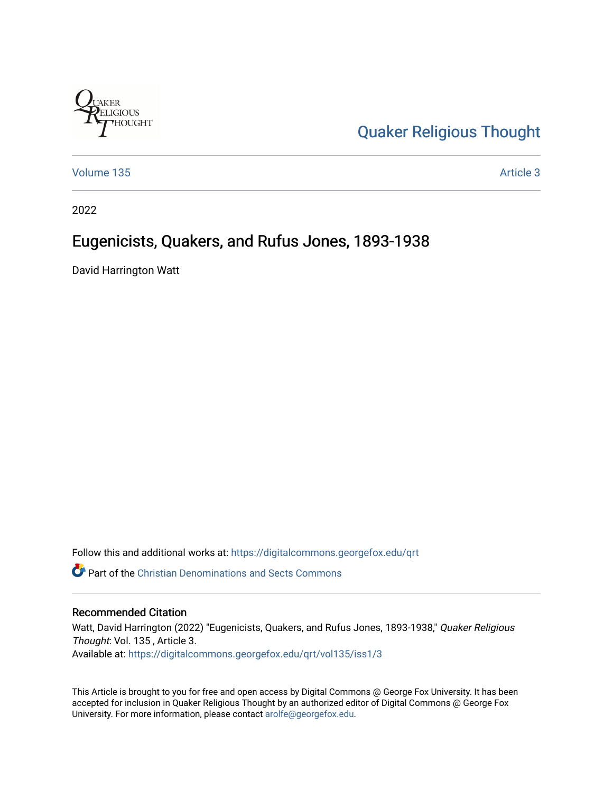

[Quaker Religious Thought](https://digitalcommons.georgefox.edu/qrt) 

[Volume 135](https://digitalcommons.georgefox.edu/qrt/vol135) **Article 3** Article 3

2022

# Eugenicists, Quakers, and Rufus Jones, 1893-1938

David Harrington Watt

Follow this and additional works at: [https://digitalcommons.georgefox.edu/qrt](https://digitalcommons.georgefox.edu/qrt?utm_source=digitalcommons.georgefox.edu%2Fqrt%2Fvol135%2Fiss1%2F3&utm_medium=PDF&utm_campaign=PDFCoverPages) 

**P** Part of the Christian Denominations and Sects Commons

# Recommended Citation

Watt, David Harrington (2022) "Eugenicists, Quakers, and Rufus Jones, 1893-1938," Quaker Religious Thought: Vol. 135 , Article 3. Available at: [https://digitalcommons.georgefox.edu/qrt/vol135/iss1/3](https://digitalcommons.georgefox.edu/qrt/vol135/iss1/3?utm_source=digitalcommons.georgefox.edu%2Fqrt%2Fvol135%2Fiss1%2F3&utm_medium=PDF&utm_campaign=PDFCoverPages) 

This Article is brought to you for free and open access by Digital Commons @ George Fox University. It has been accepted for inclusion in Quaker Religious Thought by an authorized editor of Digital Commons @ George Fox University. For more information, please contact [arolfe@georgefox.edu.](mailto:arolfe@georgefox.edu)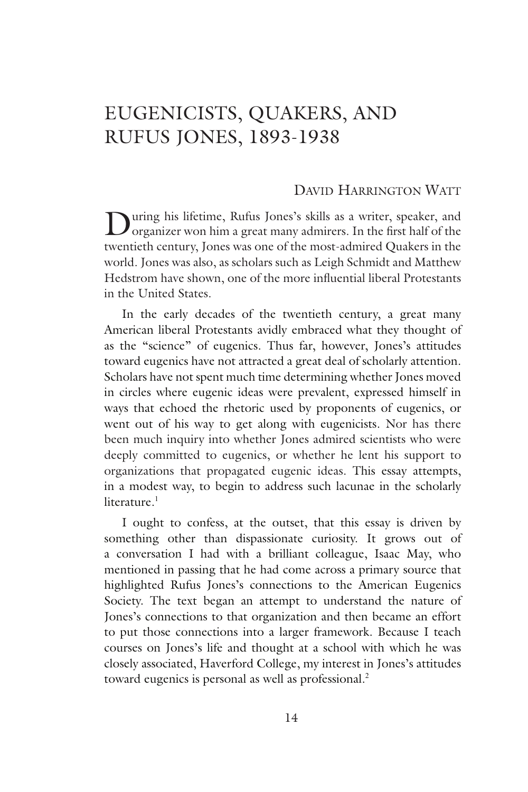# EUGENICISTS, QUAKERS, AND RUFUS JONES, 1893-1938

## David Harrington Watt

During his lifetime, Rufus Jones's skills as a writer, speaker, and organizer won him a great many admirers. In the first half of the twentieth century, Jones was one of the most-admired Quakers in the world. Jones was also, as scholars such as Leigh Schmidt and Matthew Hedstrom have shown, one of the more influential liberal Protestants in the United States.

In the early decades of the twentieth century, a great many American liberal Protestants avidly embraced what they thought of as the "science" of eugenics. Thus far, however, Jones's attitudes toward eugenics have not attracted a great deal of scholarly attention. Scholars have not spent much time determining whether Jones moved in circles where eugenic ideas were prevalent, expressed himself in ways that echoed the rhetoric used by proponents of eugenics, or went out of his way to get along with eugenicists. Nor has there been much inquiry into whether Jones admired scientists who were deeply committed to eugenics, or whether he lent his support to organizations that propagated eugenic ideas. This essay attempts, in a modest way, to begin to address such lacunae in the scholarly literature.<sup>1</sup>

I ought to confess, at the outset, that this essay is driven by something other than dispassionate curiosity. It grows out of a conversation I had with a brilliant colleague, Isaac May, who mentioned in passing that he had come across a primary source that highlighted Rufus Jones's connections to the American Eugenics Society. The text began an attempt to understand the nature of Jones's connections to that organization and then became an effort to put those connections into a larger framework. Because I teach courses on Jones's life and thought at a school with which he was closely associated, Haverford College, my interest in Jones's attitudes toward eugenics is personal as well as professional.<sup>2</sup>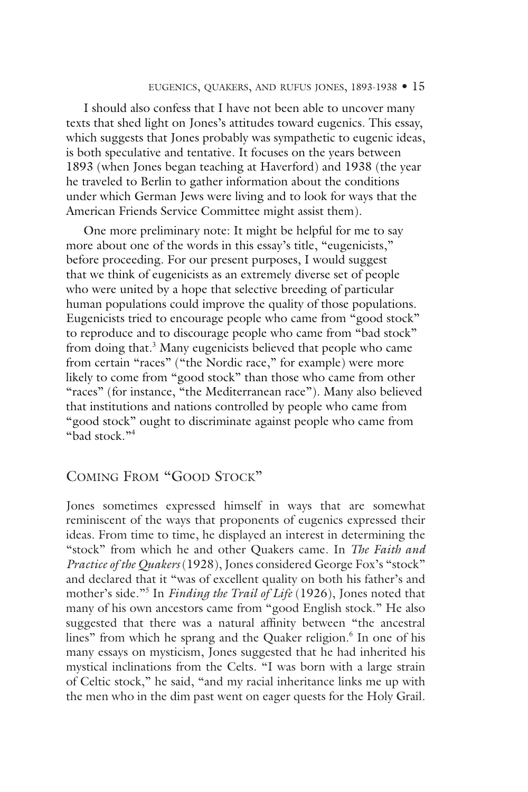#### eugenics, quakers, and rufus jones, 1893-1938 • 15

I should also confess that I have not been able to uncover many texts that shed light on Jones's attitudes toward eugenics. This essay, which suggests that Jones probably was sympathetic to eugenic ideas, is both speculative and tentative. It focuses on the years between 1893 (when Jones began teaching at Haverford) and 1938 (the year he traveled to Berlin to gather information about the conditions under which German Jews were living and to look for ways that the American Friends Service Committee might assist them).

One more preliminary note: It might be helpful for me to say more about one of the words in this essay's title, "eugenicists," before proceeding. For our present purposes, I would suggest that we think of eugenicists as an extremely diverse set of people who were united by a hope that selective breeding of particular human populations could improve the quality of those populations. Eugenicists tried to encourage people who came from "good stock" to reproduce and to discourage people who came from "bad stock" from doing that.<sup>3</sup> Many eugenicists believed that people who came from certain "races" ("the Nordic race," for example) were more likely to come from "good stock" than those who came from other "races" (for instance, "the Mediterranean race"). Many also believed that institutions and nations controlled by people who came from "good stock" ought to discriminate against people who came from "bad stock."<sup>4</sup>

# Coming From "Good Stock"

Jones sometimes expressed himself in ways that are somewhat reminiscent of the ways that proponents of eugenics expressed their ideas. From time to time, he displayed an interest in determining the "stock" from which he and other Quakers came. In *The Faith and Practice of the Quakers* (1928), Jones considered George Fox's "stock" and declared that it "was of excellent quality on both his father's and mother's side."<sup>5</sup> In *Finding the Trail of Life* (1926), Jones noted that many of his own ancestors came from "good English stock." He also suggested that there was a natural affinity between "the ancestral lines" from which he sprang and the Quaker religion.<sup>6</sup> In one of his many essays on mysticism, Jones suggested that he had inherited his mystical inclinations from the Celts. "I was born with a large strain of Celtic stock," he said, "and my racial inheritance links me up with the men who in the dim past went on eager quests for the Holy Grail.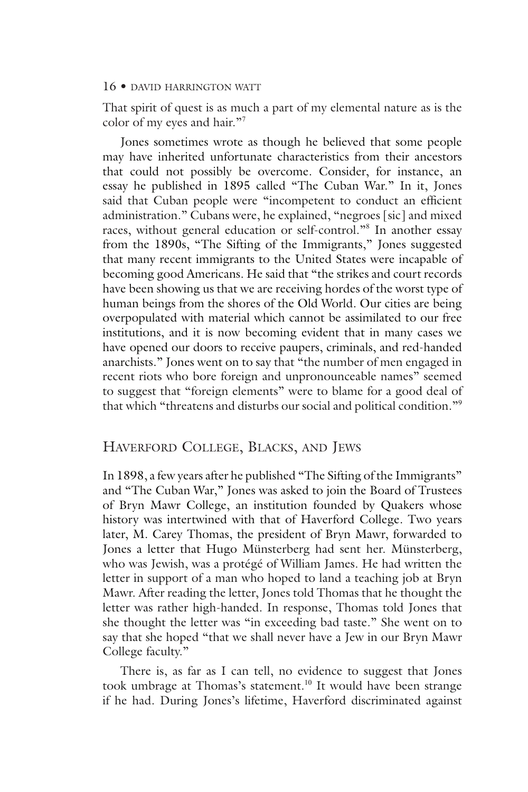That spirit of quest is as much a part of my elemental nature as is the color of my eyes and hair."<sup>7</sup>

Jones sometimes wrote as though he believed that some people may have inherited unfortunate characteristics from their ancestors that could not possibly be overcome. Consider, for instance, an essay he published in 1895 called "The Cuban War." In it, Jones said that Cuban people were "incompetent to conduct an efficient administration." Cubans were, he explained, "negroes [sic] and mixed races, without general education or self-control."<sup>8</sup> In another essay from the 1890s, "The Sifting of the Immigrants," Jones suggested that many recent immigrants to the United States were incapable of becoming good Americans. He said that "the strikes and court records have been showing us that we are receiving hordes of the worst type of human beings from the shores of the Old World. Our cities are being overpopulated with material which cannot be assimilated to our free institutions, and it is now becoming evident that in many cases we have opened our doors to receive paupers, criminals, and red-handed anarchists." Jones went on to say that "the number of men engaged in recent riots who bore foreign and unpronounceable names" seemed to suggest that "foreign elements" were to blame for a good deal of that which "threatens and disturbs our social and political condition."<sup>9</sup>

## Haverford College, Blacks, and Jews

In 1898, a few years after he published "The Sifting of the Immigrants" and "The Cuban War," Jones was asked to join the Board of Trustees of Bryn Mawr College, an institution founded by Quakers whose history was intertwined with that of Haverford College. Two years later, M. Carey Thomas, the president of Bryn Mawr, forwarded to Jones a letter that Hugo Münsterberg had sent her. Münsterberg, who was Jewish, was a protégé of William James. He had written the letter in support of a man who hoped to land a teaching job at Bryn Mawr. After reading the letter, Jones told Thomas that he thought the letter was rather high-handed. In response, Thomas told Jones that she thought the letter was "in exceeding bad taste." She went on to say that she hoped "that we shall never have a Jew in our Bryn Mawr College faculty."

There is, as far as I can tell, no evidence to suggest that Jones took umbrage at Thomas's statement.<sup>10</sup> It would have been strange if he had. During Jones's lifetime, Haverford discriminated against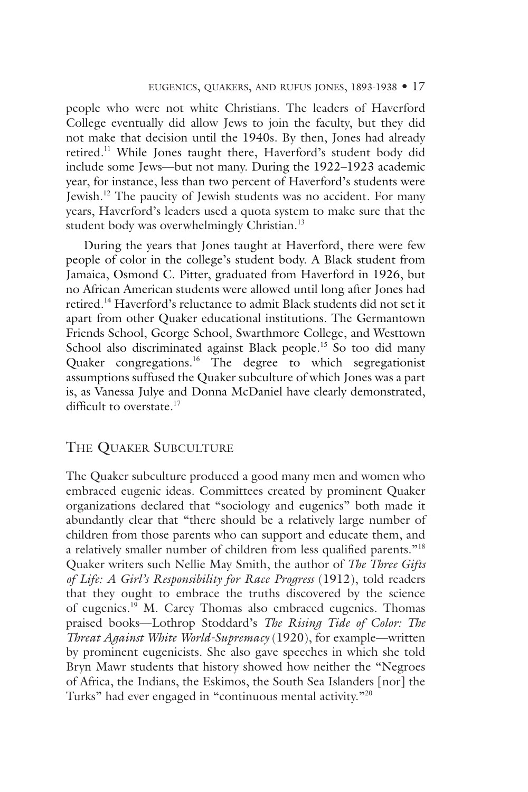people who were not white Christians. The leaders of Haverford College eventually did allow Jews to join the faculty, but they did not make that decision until the 1940s. By then, Jones had already retired.<sup>11</sup> While Jones taught there, Haverford's student body did include some Jews—but not many. During the 1922–1923 academic year, for instance, less than two percent of Haverford's students were Jewish.<sup>12</sup> The paucity of Jewish students was no accident. For many years, Haverford's leaders used a quota system to make sure that the student body was overwhelmingly Christian.<sup>13</sup>

During the years that Jones taught at Haverford, there were few people of color in the college's student body. A Black student from Jamaica, Osmond C. Pitter, graduated from Haverford in 1926, but no African American students were allowed until long after Jones had retired.<sup>14</sup> Haverford's reluctance to admit Black students did not set it apart from other Quaker educational institutions. The Germantown Friends School, George School, Swarthmore College, and Westtown School also discriminated against Black people.<sup>15</sup> So too did many Quaker congregations.<sup>16</sup> The degree to which segregationist assumptions suffused the Quaker subculture of which Jones was a part is, as Vanessa Julye and Donna McDaniel have clearly demonstrated, difficult to overstate.<sup>17</sup>

## The Quaker Subculture

The Quaker subculture produced a good many men and women who embraced eugenic ideas. Committees created by prominent Quaker organizations declared that "sociology and eugenics" both made it abundantly clear that "there should be a relatively large number of children from those parents who can support and educate them, and a relatively smaller number of children from less qualified parents."<sup>18</sup> Quaker writers such Nellie May Smith, the author of *The Three Gifts of Life: A Girl's Responsibility for Race Progress* (1912), told readers that they ought to embrace the truths discovered by the science of eugenics.<sup>19</sup> M. Carey Thomas also embraced eugenics. Thomas praised books—Lothrop Stoddard's *The Rising Tide of Color: The Threat Against White World-Supremacy* (1920), for example—written by prominent eugenicists. She also gave speeches in which she told Bryn Mawr students that history showed how neither the "Negroes of Africa, the Indians, the Eskimos, the South Sea Islanders [nor] the Turks" had ever engaged in "continuous mental activity."20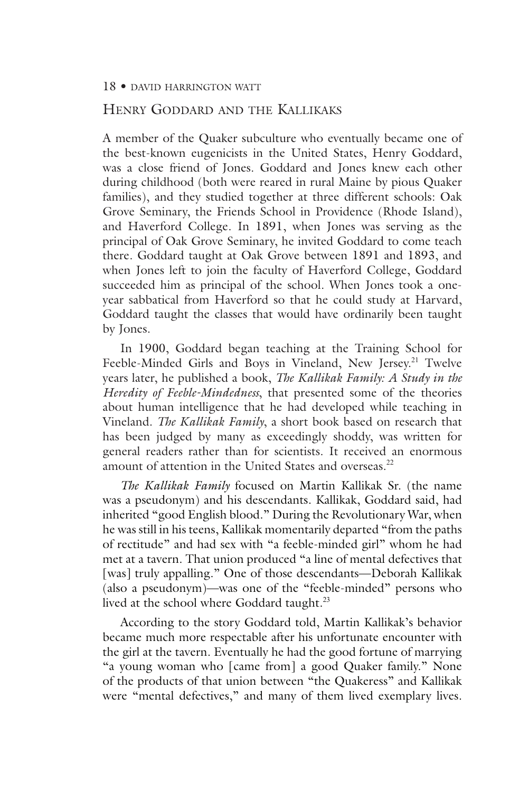## Henry Goddard and the Kallikaks

A member of the Quaker subculture who eventually became one of the best-known eugenicists in the United States, Henry Goddard, was a close friend of Jones. Goddard and Jones knew each other during childhood (both were reared in rural Maine by pious Quaker families), and they studied together at three different schools: Oak Grove Seminary, the Friends School in Providence (Rhode Island), and Haverford College. In 1891, when Jones was serving as the principal of Oak Grove Seminary, he invited Goddard to come teach there. Goddard taught at Oak Grove between 1891 and 1893, and when Jones left to join the faculty of Haverford College, Goddard succeeded him as principal of the school. When Jones took a oneyear sabbatical from Haverford so that he could study at Harvard, Goddard taught the classes that would have ordinarily been taught by Jones.

In 1900, Goddard began teaching at the Training School for Feeble-Minded Girls and Boys in Vineland, New Jersey.<sup>21</sup> Twelve years later, he published a book, *The Kallikak Family: A Study in the Heredity of Feeble-Mindedness*, that presented some of the theories about human intelligence that he had developed while teaching in Vineland. *The Kallikak Family*, a short book based on research that has been judged by many as exceedingly shoddy, was written for general readers rather than for scientists. It received an enormous amount of attention in the United States and overseas.<sup>22</sup>

*The Kallikak Family* focused on Martin Kallikak Sr. (the name was a pseudonym) and his descendants. Kallikak, Goddard said, had inherited "good English blood." During the Revolutionary War, when he was still in his teens, Kallikak momentarily departed "from the paths of rectitude" and had sex with "a feeble-minded girl" whom he had met at a tavern. That union produced "a line of mental defectives that [was] truly appalling." One of those descendants—Deborah Kallikak (also a pseudonym)—was one of the "feeble-minded" persons who lived at the school where Goddard taught.<sup>23</sup>

According to the story Goddard told, Martin Kallikak's behavior became much more respectable after his unfortunate encounter with the girl at the tavern. Eventually he had the good fortune of marrying "a young woman who [came from] a good Quaker family." None of the products of that union between "the Quakeress" and Kallikak were "mental defectives," and many of them lived exemplary lives.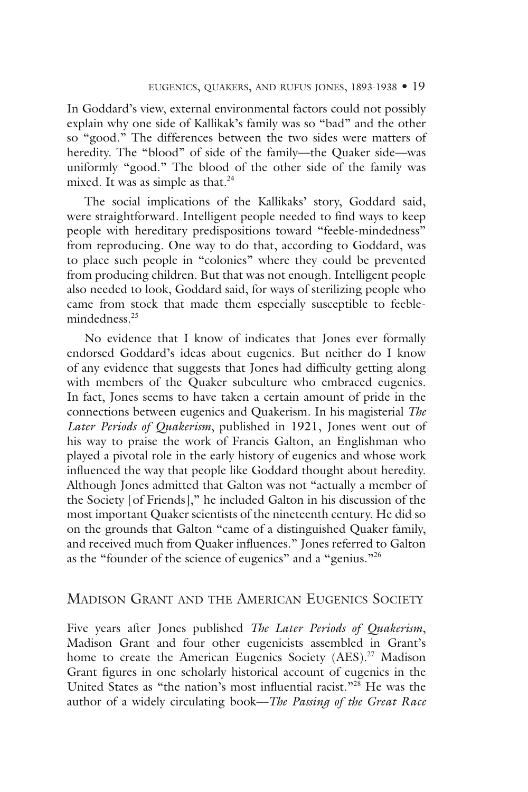In Goddard's view, external environmental factors could not possibly explain why one side of Kallikak's family was so "bad" and the other so "good." The differences between the two sides were matters of heredity. The "blood" of side of the family—the Quaker side—was uniformly "good." The blood of the other side of the family was mixed. It was as simple as that.<sup>24</sup>

The social implications of the Kallikaks' story, Goddard said, were straightforward. Intelligent people needed to find ways to keep people with hereditary predispositions toward "feeble-mindedness" from reproducing. One way to do that, according to Goddard, was to place such people in "colonies" where they could be prevented from producing children. But that was not enough. Intelligent people also needed to look, Goddard said, for ways of sterilizing people who came from stock that made them especially susceptible to feeblemindedness.<sup>25</sup>

No evidence that I know of indicates that Jones ever formally endorsed Goddard's ideas about eugenics. But neither do I know of any evidence that suggests that Jones had difficulty getting along with members of the Quaker subculture who embraced eugenics. In fact, Jones seems to have taken a certain amount of pride in the connections between eugenics and Quakerism. In his magisterial *The Later Periods of Quakerism*, published in 1921, Jones went out of his way to praise the work of Francis Galton, an Englishman who played a pivotal role in the early history of eugenics and whose work influenced the way that people like Goddard thought about heredity. Although Jones admitted that Galton was not "actually a member of the Society [of Friends]," he included Galton in his discussion of the most important Quaker scientists of the nineteenth century. He did so on the grounds that Galton "came of a distinguished Quaker family, and received much from Quaker influences." Jones referred to Galton as the "founder of the science of eugenics" and a "genius."<sup>26</sup>

# Madison Grant and the American Eugenics Society

Five years after Jones published *The Later Periods of Quakerism*, Madison Grant and four other eugenicists assembled in Grant's home to create the American Eugenics Society (AES).<sup>27</sup> Madison Grant figures in one scholarly historical account of eugenics in the United States as "the nation's most influential racist."<sup>28</sup> He was the author of a widely circulating book—*The Passing of the Great Race*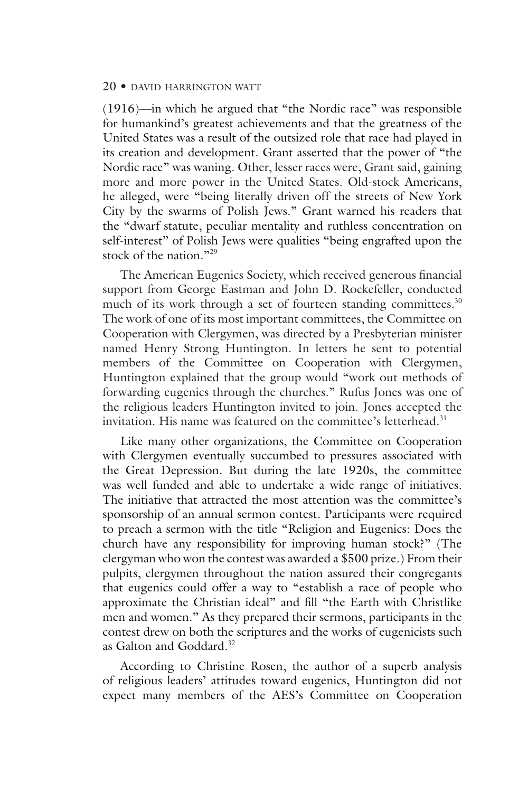(1916)—in which he argued that "the Nordic race" was responsible for humankind's greatest achievements and that the greatness of the United States was a result of the outsized role that race had played in its creation and development. Grant asserted that the power of "the Nordic race" was waning. Other, lesser races were, Grant said, gaining more and more power in the United States. Old-stock Americans, he alleged, were "being literally driven off the streets of New York City by the swarms of Polish Jews." Grant warned his readers that the "dwarf statute, peculiar mentality and ruthless concentration on self-interest" of Polish Jews were qualities "being engrafted upon the stock of the nation."<sup>29</sup>

The American Eugenics Society, which received generous financial support from George Eastman and John D. Rockefeller, conducted much of its work through a set of fourteen standing committees. $30$ The work of one of its most important committees, the Committee on Cooperation with Clergymen, was directed by a Presbyterian minister named Henry Strong Huntington. In letters he sent to potential members of the Committee on Cooperation with Clergymen, Huntington explained that the group would "work out methods of forwarding eugenics through the churches." Rufus Jones was one of the religious leaders Huntington invited to join. Jones accepted the invitation. His name was featured on the committee's letterhead.<sup>31</sup>

Like many other organizations, the Committee on Cooperation with Clergymen eventually succumbed to pressures associated with the Great Depression. But during the late 1920s, the committee was well funded and able to undertake a wide range of initiatives. The initiative that attracted the most attention was the committee's sponsorship of an annual sermon contest. Participants were required to preach a sermon with the title "Religion and Eugenics: Does the church have any responsibility for improving human stock?" (The clergyman who won the contest was awarded a \$500 prize.) From their pulpits, clergymen throughout the nation assured their congregants that eugenics could offer a way to "establish a race of people who approximate the Christian ideal" and fill "the Earth with Christlike men and women." As they prepared their sermons, participants in the contest drew on both the scriptures and the works of eugenicists such as Galton and Goddard.<sup>32</sup>

According to Christine Rosen, the author of a superb analysis of religious leaders' attitudes toward eugenics, Huntington did not expect many members of the AES's Committee on Cooperation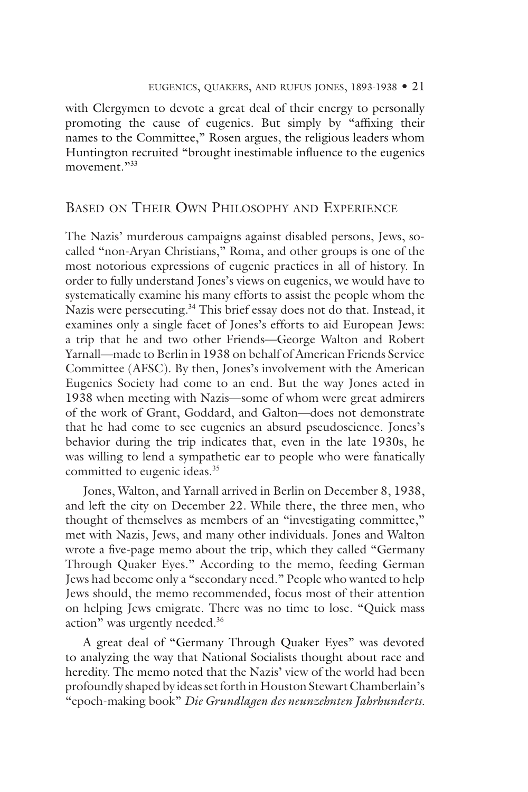with Clergymen to devote a great deal of their energy to personally promoting the cause of eugenics. But simply by "affixing their names to the Committee," Rosen argues, the religious leaders whom Huntington recruited "brought inestimable influence to the eugenics movement."33

# Based on Their Own Philosophy and Experience

The Nazis' murderous campaigns against disabled persons, Jews, socalled "non-Aryan Christians," Roma, and other groups is one of the most notorious expressions of eugenic practices in all of history. In order to fully understand Jones's views on eugenics, we would have to systematically examine his many efforts to assist the people whom the Nazis were persecuting.<sup>34</sup> This brief essay does not do that. Instead, it examines only a single facet of Jones's efforts to aid European Jews: a trip that he and two other Friends—George Walton and Robert Yarnall—made to Berlin in 1938 on behalf of American Friends Service Committee (AFSC). By then, Jones's involvement with the American Eugenics Society had come to an end. But the way Jones acted in 1938 when meeting with Nazis—some of whom were great admirers of the work of Grant, Goddard, and Galton—does not demonstrate that he had come to see eugenics an absurd pseudoscience. Jones's behavior during the trip indicates that, even in the late 1930s, he was willing to lend a sympathetic ear to people who were fanatically committed to eugenic ideas.<sup>35</sup>

Jones, Walton, and Yarnall arrived in Berlin on December 8, 1938, and left the city on December 22. While there, the three men, who thought of themselves as members of an "investigating committee," met with Nazis, Jews, and many other individuals. Jones and Walton wrote a five-page memo about the trip, which they called "Germany Through Quaker Eyes." According to the memo, feeding German Jews had become only a "secondary need." People who wanted to help Jews should, the memo recommended, focus most of their attention on helping Jews emigrate. There was no time to lose. "Quick mass action" was urgently needed.<sup>36</sup>

A great deal of "Germany Through Quaker Eyes" was devoted to analyzing the way that National Socialists thought about race and heredity. The memo noted that the Nazis' view of the world had been profoundly shaped by ideas set forth in Houston Stewart Chamberlain's "epoch-making book" *Die Grundlagen des neunzehnten Jahrhunderts.*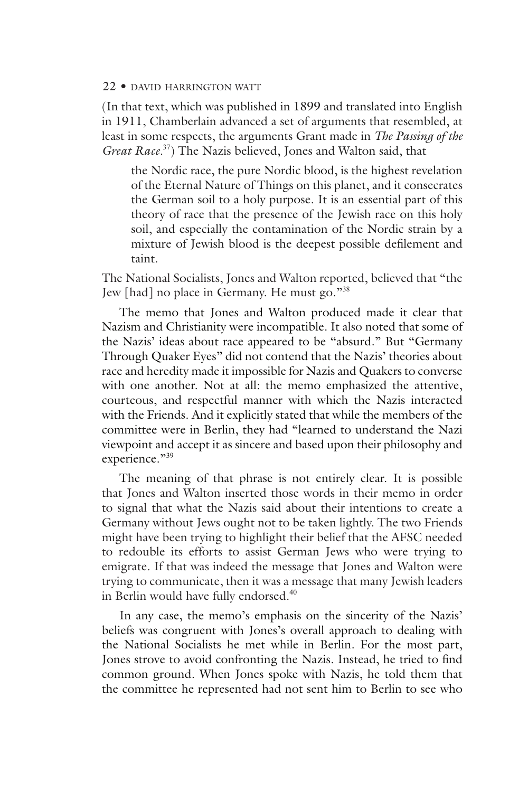(In that text, which was published in 1899 and translated into English in 1911, Chamberlain advanced a set of arguments that resembled, at least in some respects, the arguments Grant made in *The Passing of the Great Race.*<sup>37</sup>) The Nazis believed, Jones and Walton said, that

the Nordic race, the pure Nordic blood, is the highest revelation of the Eternal Nature of Things on this planet, and it consecrates the German soil to a holy purpose. It is an essential part of this theory of race that the presence of the Jewish race on this holy soil, and especially the contamination of the Nordic strain by a mixture of Jewish blood is the deepest possible defilement and taint.

The National Socialists, Jones and Walton reported, believed that "the Jew [had] no place in Germany. He must go."<sup>38</sup>

The memo that Jones and Walton produced made it clear that Nazism and Christianity were incompatible. It also noted that some of the Nazis' ideas about race appeared to be "absurd." But "Germany Through Quaker Eyes" did not contend that the Nazis' theories about race and heredity made it impossible for Nazis and Quakers to converse with one another. Not at all: the memo emphasized the attentive, courteous, and respectful manner with which the Nazis interacted with the Friends. And it explicitly stated that while the members of the committee were in Berlin, they had "learned to understand the Nazi viewpoint and accept it as sincere and based upon their philosophy and experience."39

The meaning of that phrase is not entirely clear. It is possible that Jones and Walton inserted those words in their memo in order to signal that what the Nazis said about their intentions to create a Germany without Jews ought not to be taken lightly. The two Friends might have been trying to highlight their belief that the AFSC needed to redouble its efforts to assist German Jews who were trying to emigrate. If that was indeed the message that Jones and Walton were trying to communicate, then it was a message that many Jewish leaders in Berlin would have fully endorsed.<sup>40</sup>

In any case, the memo's emphasis on the sincerity of the Nazis' beliefs was congruent with Jones's overall approach to dealing with the National Socialists he met while in Berlin. For the most part, Jones strove to avoid confronting the Nazis. Instead, he tried to find common ground. When Jones spoke with Nazis, he told them that the committee he represented had not sent him to Berlin to see who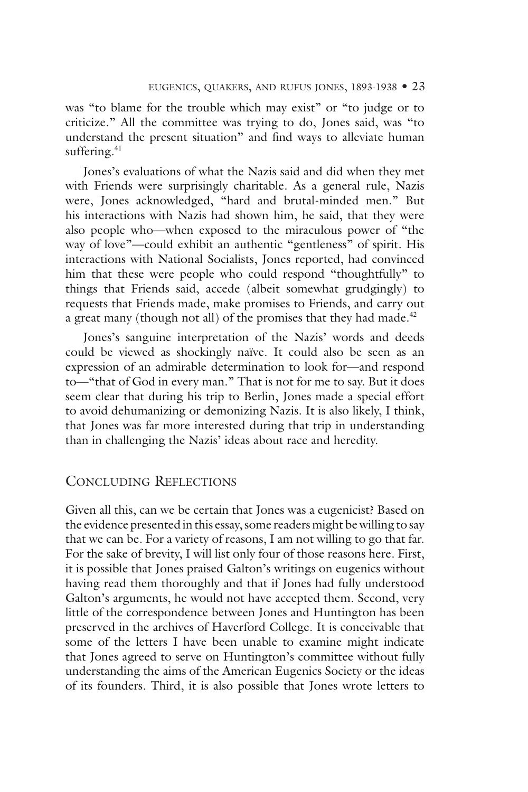was "to blame for the trouble which may exist" or "to judge or to criticize." All the committee was trying to do, Jones said, was "to understand the present situation" and find ways to alleviate human suffering.<sup>41</sup>

Jones's evaluations of what the Nazis said and did when they met with Friends were surprisingly charitable. As a general rule, Nazis were, Jones acknowledged, "hard and brutal-minded men." But his interactions with Nazis had shown him, he said, that they were also people who—when exposed to the miraculous power of "the way of love"—could exhibit an authentic "gentleness" of spirit. His interactions with National Socialists, Jones reported, had convinced him that these were people who could respond "thoughtfully" to things that Friends said, accede (albeit somewhat grudgingly) to requests that Friends made, make promises to Friends, and carry out a great many (though not all) of the promises that they had made. $42$ 

Jones's sanguine interpretation of the Nazis' words and deeds could be viewed as shockingly naïve. It could also be seen as an expression of an admirable determination to look for—and respond to—"that of God in every man." That is not for me to say. But it does seem clear that during his trip to Berlin, Jones made a special effort to avoid dehumanizing or demonizing Nazis. It is also likely, I think, that Jones was far more interested during that trip in understanding than in challenging the Nazis' ideas about race and heredity.

## Concluding Reflections

Given all this, can we be certain that Jones was a eugenicist? Based on the evidence presented in this essay, some readers might be willing to say that we can be. For a variety of reasons, I am not willing to go that far. For the sake of brevity, I will list only four of those reasons here. First, it is possible that Jones praised Galton's writings on eugenics without having read them thoroughly and that if Jones had fully understood Galton's arguments, he would not have accepted them. Second, very little of the correspondence between Jones and Huntington has been preserved in the archives of Haverford College. It is conceivable that some of the letters I have been unable to examine might indicate that Jones agreed to serve on Huntington's committee without fully understanding the aims of the American Eugenics Society or the ideas of its founders. Third, it is also possible that Jones wrote letters to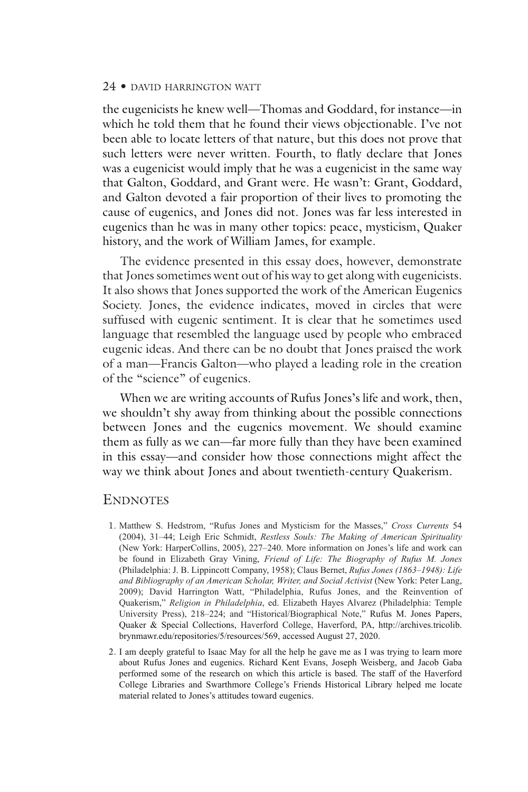the eugenicists he knew well—Thomas and Goddard, for instance—in which he told them that he found their views objectionable. I've not been able to locate letters of that nature, but this does not prove that such letters were never written. Fourth, to flatly declare that Jones was a eugenicist would imply that he was a eugenicist in the same way that Galton, Goddard, and Grant were. He wasn't: Grant, Goddard, and Galton devoted a fair proportion of their lives to promoting the cause of eugenics, and Jones did not. Jones was far less interested in eugenics than he was in many other topics: peace, mysticism, Quaker history, and the work of William James, for example.

The evidence presented in this essay does, however, demonstrate that Jones sometimes went out of his way to get along with eugenicists. It also shows that Jones supported the work of the American Eugenics Society. Jones, the evidence indicates, moved in circles that were suffused with eugenic sentiment. It is clear that he sometimes used language that resembled the language used by people who embraced eugenic ideas. And there can be no doubt that Jones praised the work of a man—Francis Galton—who played a leading role in the creation of the "science" of eugenics.

When we are writing accounts of Rufus Jones's life and work, then, we shouldn't shy away from thinking about the possible connections between Jones and the eugenics movement. We should examine them as fully as we can—far more fully than they have been examined in this essay—and consider how those connections might affect the way we think about Jones and about twentieth-century Quakerism.

## **ENDNOTES**

- 1. Matthew S. Hedstrom, "Rufus Jones and Mysticism for the Masses," *Cross Currents* 54 (2004), 31–44; Leigh Eric Schmidt, *Restless Souls: The Making of American Spirituality* (New York: HarperCollins, 2005), 227–240. More information on Jones's life and work can be found in Elizabeth Gray Vining, *Friend of Life: The Biography of Rufus M. Jones* (Philadelphia: J. B. Lippincott Company, 1958); Claus Bernet, *Rufus Jones (1863–1948): Life and Bibliography of an American Scholar, Writer, and Social Activist* (New York: Peter Lang, 2009); David Harrington Watt, "Philadelphia, Rufus Jones, and the Reinvention of Quakerism," *Religion in Philadelphia*, ed. Elizabeth Hayes Alvarez (Philadelphia: Temple University Press), 218–224; and "Historical/Biographical Note," Rufus M. Jones Papers, Quaker & Special Collections, Haverford College, Haverford, PA, http://archives.tricolib. brynmawr.edu/repositories/5/resources/569, accessed August 27, 2020.
- 2. I am deeply grateful to Isaac May for all the help he gave me as I was trying to learn more about Rufus Jones and eugenics. Richard Kent Evans, Joseph Weisberg, and Jacob Gaba performed some of the research on which this article is based. The staff of the Haverford College Libraries and Swarthmore College's Friends Historical Library helped me locate material related to Jones's attitudes toward eugenics.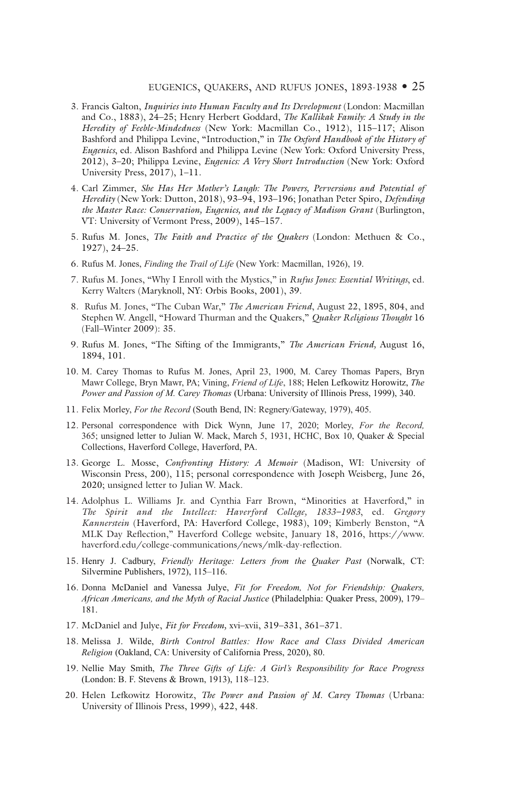#### eugenics, quakers, and rufus jones, 1893-1938 • 25

- 3. Francis Galton, *Inquiries into Human Faculty and Its Development* (London: Macmillan and Co., 1883), 24–25; Henry Herbert Goddard, *The Kallikak Family: A Study in the Heredity of Feeble-Mindedness* (New York: Macmillan Co., 1912), 115–117; Alison Bashford and Philippa Levine, "Introduction," in *The Oxford Handbook of the History of Eugenics*, ed. Alison Bashford and Philippa Levine (New York: Oxford University Press, 2012), 3–20; Philippa Levine, *Eugenics: A Very Short Introduction* (New York: Oxford University Press, 2017), 1–11.
- 4. Carl Zimmer, *She Has Her Mother's Laugh: The Powers, Perversions and Potential of Heredity* (New York: Dutton, 2018), 93–94, 193–196; Jonathan Peter Spiro, *Defending the Master Race: Conservation, Eugenics, and the Legacy of Madison Grant (Burlington,* VT: University of Vermont Press, 2009), 145–157.
- 5. Rufus M. Jones, *The Faith and Practice of the Quakers* (London: Methuen & Co., 1927), 24–25.
- 6. Rufus M. Jones, *Finding the Trail of Life* (New York: Macmillan, 1926), 19.
- 7. Rufus M. Jones, "Why I Enroll with the Mystics," in *Rufus Jones: Essential Writings*, ed. Kerry Walters (Maryknoll, NY: Orbis Books, 2001), 39.
- 8. Rufus M. Jones, "The Cuban War," *The American Friend*, August 22, 1895, 804, and Stephen W. Angell, "Howard Thurman and the Quakers," *Quaker Religious Thought* 16 (Fall–Winter 2009): 35.
- 9. Rufus M. Jones, "The Sifting of the Immigrants," *The American Friend,* August 16, 1894, 101.
- 10. M. Carey Thomas to Rufus M. Jones, April 23, 1900, M. Carey Thomas Papers, Bryn Mawr College, Bryn Mawr, PA; Vining, *Friend of Life*, 188; Helen Lefkowitz Horowitz, *The Power and Passion of M. Carey Thomas* (Urbana: University of Illinois Press, 1999), 340.
- 11. Felix Morley, *For the Record* (South Bend, IN: Regnery/Gateway, 1979), 405.
- 12. Personal correspondence with Dick Wynn, June 17, 2020; Morley, *For the Record,*  365; unsigned letter to Julian W. Mack, March 5, 1931, HCHC, Box 10, Quaker & Special Collections, Haverford College, Haverford, PA.
- 13. George L. Mosse, *Confronting History: A Memoir* (Madison, WI: University of Wisconsin Press, 200), 115; personal correspondence with Joseph Weisberg, June 26, 2020; unsigned letter to Julian W. Mack.
- 14. Adolphus L. Williams Jr. and Cynthia Farr Brown, "Minorities at Haverford," in *The Spirit and the Intellect: Haverford College, 1833–1983*, ed. *Gregory Kannerstein* (Haverford, PA: Haverford College, 1983), 109; Kimberly Benston, "A MLK Day Reflection," Haverford College website, January 18, 2016, https://www. haverford.edu/college-communications/news/mlk-day-reflection.
- 15. Henry J. Cadbury, *Friendly Heritage: Letters from the Quaker Past* (Norwalk, CT: Silvermine Publishers, 1972), 115–116.
- 16. Donna McDaniel and Vanessa Julye, *Fit for Freedom, Not for Friendship: Quakers, African Americans, and the Myth of Racial Justice* (Philadelphia: Quaker Press, 2009), 179– 181.
- 17. McDaniel and Julye, *Fit for Freedom,* xvi–xvii, 319–331, 361–371.
- 18. Melissa J. Wilde, *Birth Control Battles: How Race and Class Divided American Religion* (Oakland, CA: University of California Press, 2020), 80.
- 19. Nellie May Smith, *The Three Gifts of Life: A Girl's Responsibility for Race Progress* (London: B. F. Stevens & Brown, 1913), 118–123.
- 20. Helen Lefkowitz Horowitz, *The Power and Passion of M. Carey Thomas* (Urbana: University of Illinois Press, 1999), 422, 448.